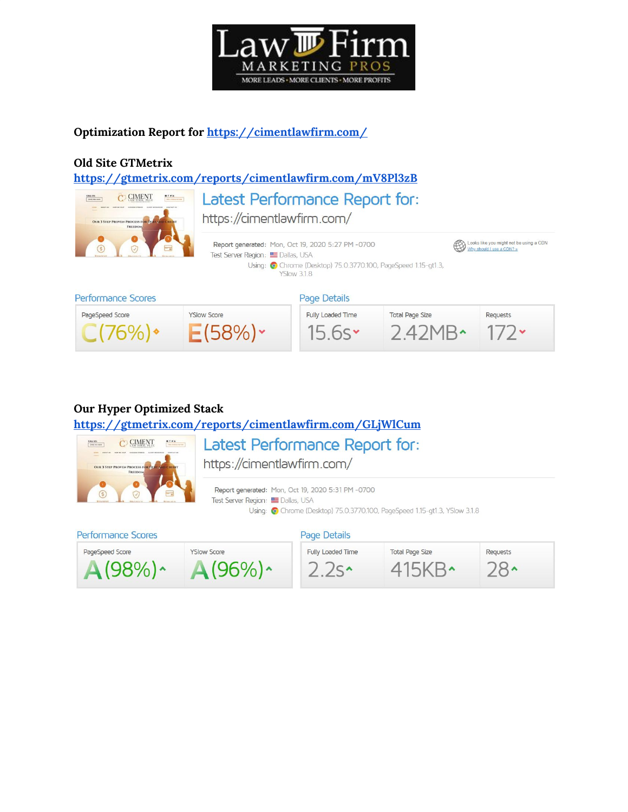

### **Optimization Report for <https://cimentlawfirm.com/>**

#### **Old Site GTMetrix**

**<https://gtmetrix.com/reports/cimentlawfirm.com/mV8Pl3zB>**



Latest Performance Report for: https://cimentlawfirm.com/





### **Our Hyper Optimized Stack**

**<https://gtmetrix.com/reports/cimentlawfirm.com/GLjWlCum>**



Latest Performance Report for:

https://cimentlawfirm.com/

Report generated: Mon, Oct 19, 2020 5:31 PM -0700 Test Server Region: EDallas, USA Using: C Chrome (Desktop) 75.0.3770.100, PageSpeed 1.15-gt1.3, YSlow 3.1.8

### Performance Scores

#### Page Details

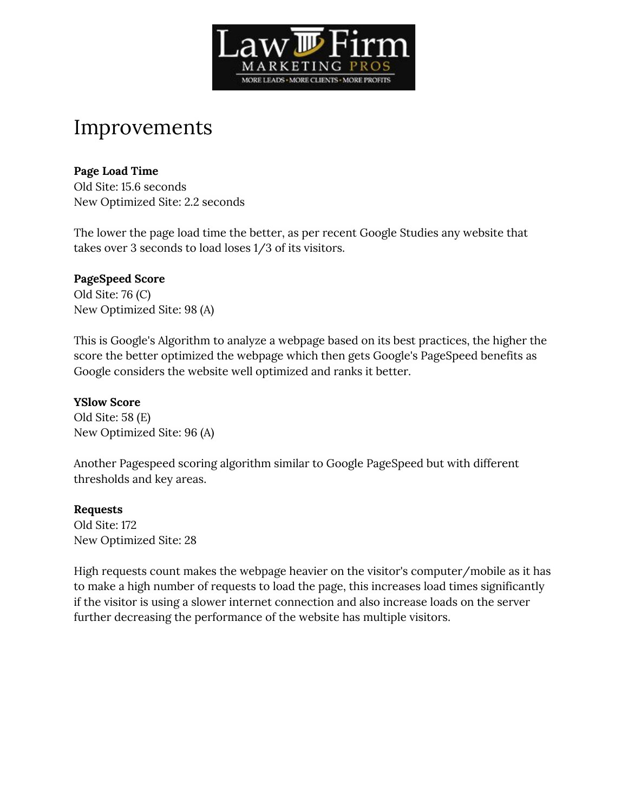

# Improvements

#### **Page Load Time**

Old Site: 15.6 seconds New Optimized Site: 2.2 seconds

The lower the page load time the better, as per recent Google Studies any website that takes over 3 seconds to load loses 1/3 of its visitors.

### **PageSpeed Score**

Old Site: 76 (C) New Optimized Site: 98 (A)

This is Google's Algorithm to analyze a webpage based on its best practices, the higher the score the better optimized the webpage which then gets Google's PageSpeed benefits as Google considers the website well optimized and ranks it better.

#### **YSlow Score**

Old Site: 58 (E) New Optimized Site: 96 (A)

Another Pagespeed scoring algorithm similar to Google PageSpeed but with different thresholds and key areas.

#### **Requests**

Old Site: 172 New Optimized Site: 28

High requests count makes the webpage heavier on the visitor's computer/mobile as it has to make a high number of requests to load the page, this increases load times significantly if the visitor is using a slower internet connection and also increase loads on the server further decreasing the performance of the website has multiple visitors.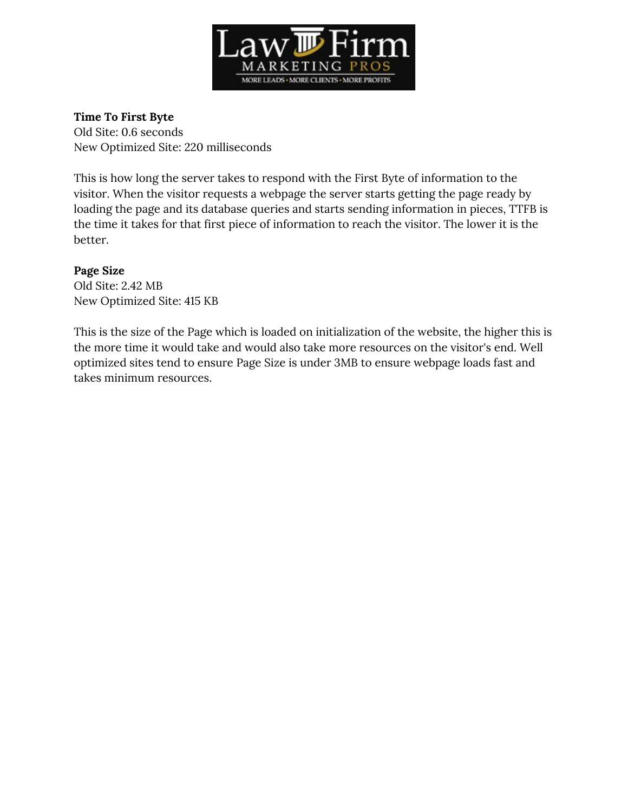

#### **Time To First Byte**

Old Site: 0.6 seconds New Optimized Site: 220 milliseconds

This is how long the server takes to respond with the First Byte of information to the visitor. When the visitor requests a webpage the server starts getting the page ready by loading the page and its database queries and starts sending information in pieces, TTFB is the time it takes for that first piece of information to reach the visitor. The lower it is the better.

### **Page Size**

Old Site: 2.42 MB New Optimized Site: 415 KB

This is the size of the Page which is loaded on initialization of the website, the higher this is the more time it would take and would also take more resources on the visitor's end. Well optimized sites tend to ensure Page Size is under 3MB to ensure webpage loads fast and takes minimum resources.